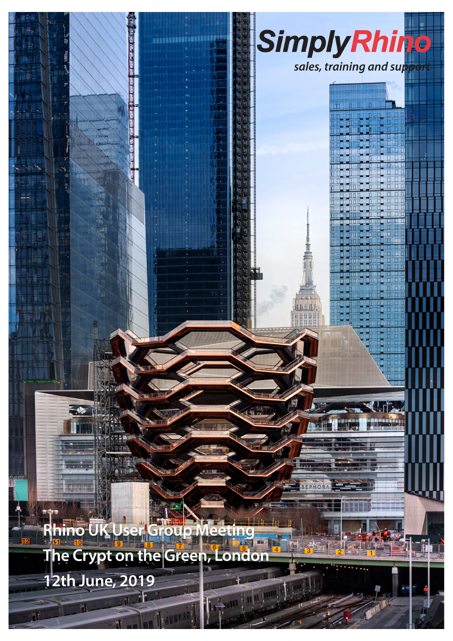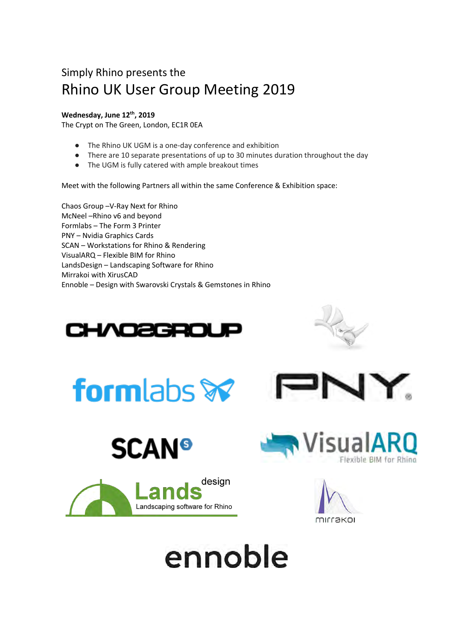## Simply Rhino presents the Rhino UK User Group Meeting 2019

#### **Wednesday, June 12th, 2019**

The Crypt on The Green, London, EC1R 0EA

- The Rhino UK UGM is a one-day conference and exhibition
- There are 10 separate presentations of up to 30 minutes duration throughout the day
- The UGM is fully catered with ample breakout times

Meet with the following Partners all within the same Conference & Exhibition space:

Chaos Group –V-Ray Next for Rhino McNeel –Rhino v6 and beyond Formlabs – The Form 3 Printer PNY – Nvidia Graphics Cards SCAN – Workstations for Rhino & Rendering VisualARQ – Flexible BIM for Rhino LandsDesign – Landscaping Software for Rhino Mirrakoi with XirusCAD Ennoble – Design with Swarovski Crystals & Gemstones in Rhino

















# ennoble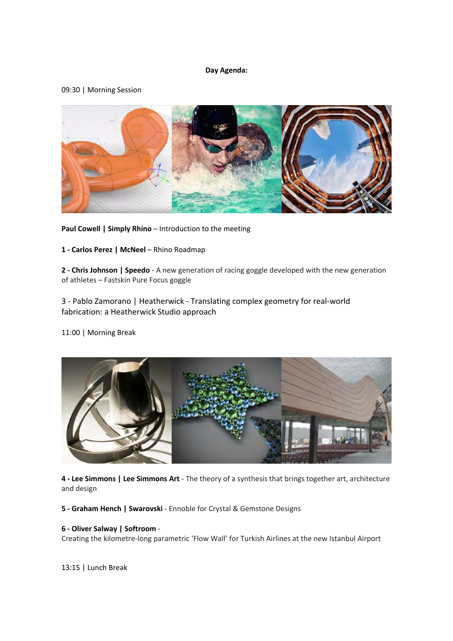#### **Day Agenda:**

#### 09:30 | Morning Session



**Paul Cowell | Simply Rhino** – Introduction to the meeting

**1 - Carlos Perez | McNeel** – Rhino Roadmap

**2 - Chris Johnson | Speedo** - A new generation of racing goggle developed with the new generation of athletes – Fastskin Pure Focus goggle

3 - Pablo Zamorano | Heatherwick - Translating complex geometry for real-world fabrication: a Heatherwick Studio approach

11:00 | Morning Break



**4 - Lee Simmons | Lee Simmons Art** - The theory of a synthesis that brings together art, architecture and design

**5 - Graham Hench | Swarovski** - Ennoble for Crystal & Gemstone Designs

#### **6 - Oliver Salway | Softroom** -

Creating the kilometre-long parametric 'Flow Wall' for Turkish Airlines at the new Istanbul Airport

13:15 | Lunch Break